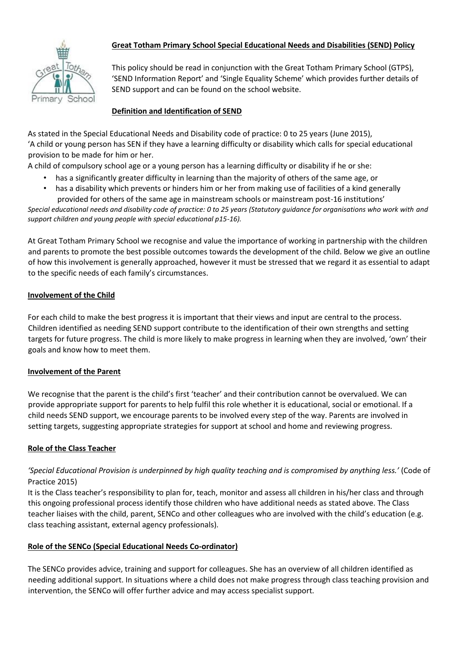

# **Great Totham Primary School Special Educational Needs and Disabilities (SEND) Policy**

This policy should be read in conjunction with the Great Totham Primary School (GTPS), 'SEND Information Report' and 'Single Equality Scheme' which provides further details of SEND support and can be found on the school website.

## **Definition and Identification of SEND**

As stated in the Special Educational Needs and Disability code of practice: 0 to 25 years (June 2015), 'A child or young person has SEN if they have a learning difficulty or disability which calls for special educational provision to be made for him or her.

A child of compulsory school age or a young person has a learning difficulty or disability if he or she:

- has a significantly greater difficulty in learning than the majority of others of the same age, or
- has a disability which prevents or hinders him or her from making use of facilities of a kind generally provided for others of the same age in mainstream schools or mainstream post-16 institutions'

*Special educational needs and disability code of practice: 0 to 25 years (Statutory guidance for organisations who work with and support children and young people with special educational p15-16).* 

At Great Totham Primary School we recognise and value the importance of working in partnership with the children and parents to promote the best possible outcomes towards the development of the child. Below we give an outline of how this involvement is generally approached, however it must be stressed that we regard it as essential to adapt to the specific needs of each family's circumstances.

#### **Involvement of the Child**

For each child to make the best progress it is important that their views and input are central to the process. Children identified as needing SEND support contribute to the identification of their own strengths and setting targets for future progress. The child is more likely to make progress in learning when they are involved, 'own' their goals and know how to meet them.

#### **Involvement of the Parent**

We recognise that the parent is the child's first 'teacher' and their contribution cannot be overvalued. We can provide appropriate support for parents to help fulfil this role whether it is educational, social or emotional. If a child needs SEND support, we encourage parents to be involved every step of the way. Parents are involved in setting targets, suggesting appropriate strategies for support at school and home and reviewing progress.

#### **Role of the Class Teacher**

## *'Special Educational Provision is underpinned by high quality teaching and is compromised by anything less.'* (Code of Practice 2015)

It is the Class teacher's responsibility to plan for, teach, monitor and assess all children in his/her class and through this ongoing professional process identify those children who have additional needs as stated above. The Class teacher liaises with the child, parent, SENCo and other colleagues who are involved with the child's education (e.g. class teaching assistant, external agency professionals).

#### **Role of the SENCo (Special Educational Needs Co-ordinator)**

The SENCo provides advice, training and support for colleagues. She has an overview of all children identified as needing additional support. In situations where a child does not make progress through class teaching provision and intervention, the SENCo will offer further advice and may access specialist support.